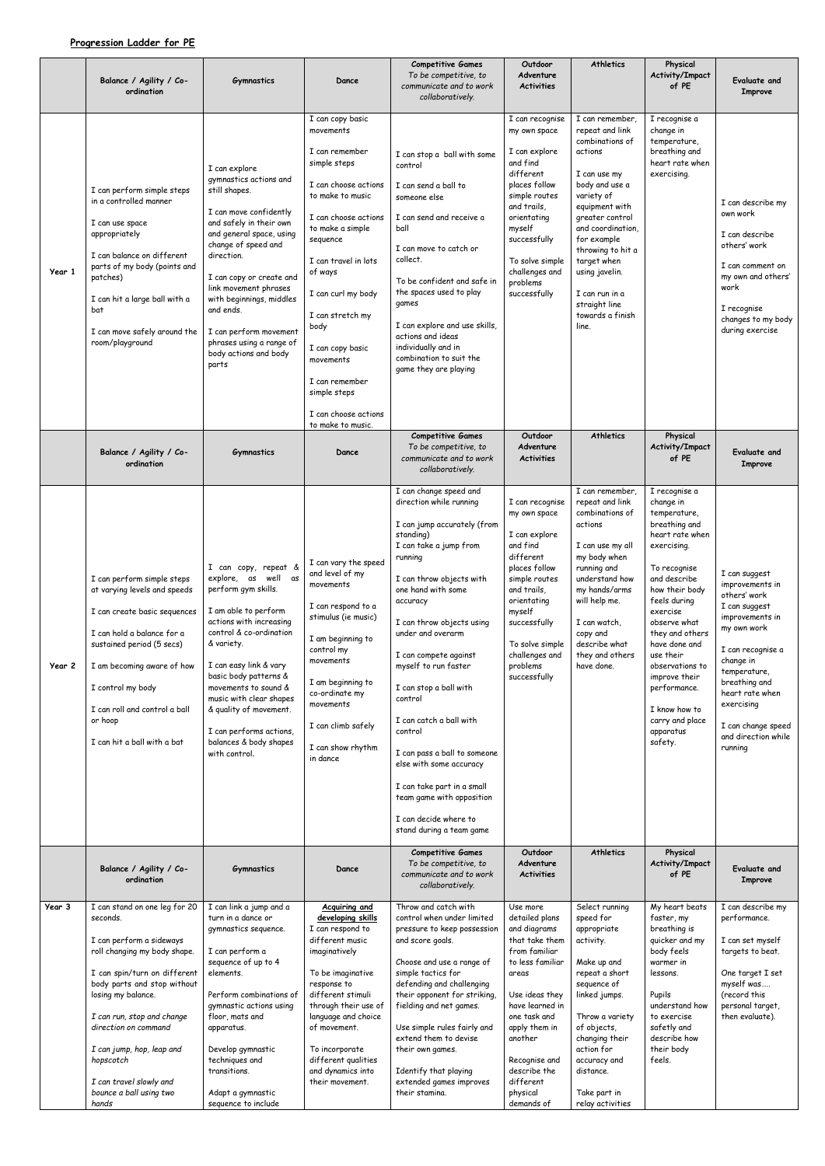## **Progression Ladder for PE**

|        | Balance / Agility / Co-<br>ordination                                                                                                                                                                                                                                                                                                                     | <b>Gymnastics</b>                                                                                                                                                                                                                                                                                                                                                    | Dance                                                                                                                                                                                                                                                                                                                                                                    | <b>Competitive Games</b><br>To be competitive, to<br>communicate and to work<br>collaboratively.                                                                                                                                                                                                                                                                                                                                                                                                                                                          | Outdoor<br>Adventure<br><b>Activities</b>                                                                                                                                                                                                                           | <b>Athletics</b>                                                                                                                                                                                                                                                                                                | Physical<br>Activity/Impact<br>of PE                                                                                                                                                                                                                                                                                                                         | Evaluate and<br><b>Improve</b>                                                                                                                                                                                                                                  |
|--------|-----------------------------------------------------------------------------------------------------------------------------------------------------------------------------------------------------------------------------------------------------------------------------------------------------------------------------------------------------------|----------------------------------------------------------------------------------------------------------------------------------------------------------------------------------------------------------------------------------------------------------------------------------------------------------------------------------------------------------------------|--------------------------------------------------------------------------------------------------------------------------------------------------------------------------------------------------------------------------------------------------------------------------------------------------------------------------------------------------------------------------|-----------------------------------------------------------------------------------------------------------------------------------------------------------------------------------------------------------------------------------------------------------------------------------------------------------------------------------------------------------------------------------------------------------------------------------------------------------------------------------------------------------------------------------------------------------|---------------------------------------------------------------------------------------------------------------------------------------------------------------------------------------------------------------------------------------------------------------------|-----------------------------------------------------------------------------------------------------------------------------------------------------------------------------------------------------------------------------------------------------------------------------------------------------------------|--------------------------------------------------------------------------------------------------------------------------------------------------------------------------------------------------------------------------------------------------------------------------------------------------------------------------------------------------------------|-----------------------------------------------------------------------------------------------------------------------------------------------------------------------------------------------------------------------------------------------------------------|
| Year 1 | I can perform simple steps<br>in a controlled manner<br>I can use space<br>appropriately<br>I can balance on different<br>parts of my body (points and<br>patches)<br>I can hit a large ball with a<br>bat<br>I can move safely around the<br>room/playground                                                                                             | I can explore<br>gymnastics actions and<br>still shapes.<br>I can move confidently<br>and safely in their own<br>and general space, using<br>change of speed and<br>direction.<br>I can copy or create and<br>link movement phrases<br>with beginnings, middles<br>and ends.<br>I can perform movement<br>phrases using a range of<br>body actions and body<br>parts | I can copy basic<br>movements<br>I can remember<br>simple steps<br>I can choose actions<br>to make to music<br>I can choose actions<br>to make a simple<br>sequence<br>I can travel in lots<br>of ways<br>I can curl my body<br>I can stretch my<br>body<br>I can copy basic<br>movements<br>I can remember<br>simple steps<br>I can choose actions<br>to make to music. | I can stop a ball with some<br>control<br>I can send a ball to<br>someone else<br>I can send and receive a<br>ball<br>I can move to catch or<br>collect.<br>To be confident and safe in<br>the spaces used to play<br>games<br>I can explore and use skills,<br>actions and ideas<br>individually and in<br>combination to suit the<br>game they are playing                                                                                                                                                                                              | I can recognise<br>my own space<br>I can explore<br>and find<br>different<br>places follow<br>simple routes<br>and trails,<br>orientating<br>myself<br>successfully<br>To solve simple<br>challenges and<br>problems<br>successfully                                | I can remember,<br>repeat and link<br>combinations of<br>actions<br>I can use my<br>body and use a<br>variety of<br>equipment with<br>greater control<br>and coordination,<br>for example<br>throwing to hit a<br>target when<br>using javelin.<br>I can run in a<br>straight line<br>towards a finish<br>line. | I recognise a<br>change in<br>temperature,<br>breathing and<br>heart rate when<br>exercising.                                                                                                                                                                                                                                                                | I can describe my<br>own work<br>I can describe<br>others' work<br>I can comment on<br>my own and others'<br>work<br>I recognise<br>changes to my body<br>during exercise                                                                                       |
|        | Balance / Agility / Co-<br>ordination                                                                                                                                                                                                                                                                                                                     | <b>Gymnastics</b>                                                                                                                                                                                                                                                                                                                                                    | Dance                                                                                                                                                                                                                                                                                                                                                                    | <b>Competitive Games</b><br>To be competitive, to<br>communicate and to work<br>collaboratively.                                                                                                                                                                                                                                                                                                                                                                                                                                                          | Outdoor<br>Adventure<br><b>Activities</b>                                                                                                                                                                                                                           | <b>Athletics</b>                                                                                                                                                                                                                                                                                                | Physical<br>Activity/Impact<br>of PE                                                                                                                                                                                                                                                                                                                         | Evaluate and<br><b>Improve</b>                                                                                                                                                                                                                                  |
| Year 2 | I can perform simple steps<br>at varying levels and speeds<br>I can create basic sequences<br>I can hold a balance for a<br>sustained period (5 secs)<br>I am becoming aware of how<br>I control my body<br>I can roll and control a ball<br>or hoop<br>I can hit a ball with a bat                                                                       | I can copy, repeat &<br>explore, as well as<br>perform gym skills.<br>I am able to perform<br>actions with increasing<br>control & co-ordination<br>& variety.<br>I can easy link & vary<br>basic body patterns &<br>movements to sound &<br>music with clear shapes<br>& quality of movement.<br>I can performs actions,<br>balances & body shapes<br>with control. | I can vary the speed<br>and level of my<br>movements<br>I can respond to a<br>stimulus (ie music)<br>I am beginning to<br>control my<br>movements<br>I am beginning to<br>co-ordinate my<br>movements<br>I can climb safely<br>I can show rhythm<br>in dance                                                                                                             | I can change speed and<br>direction while running<br>I can jump accurately (from<br>standing)<br>I can take a jump from<br>running<br>I can throw objects with<br>one hand with some<br>accuracy<br>I can throw objects using<br>under and overarm<br>I can compete against<br>myself to run faster<br>I can stop a ball with<br>control<br>I can catch a ball with<br>control<br>I can pass a ball to someone<br>else with some accuracy<br>I can take part in a small<br>team game with opposition<br>I can decide where to<br>stand during a team game | I can recognise<br>my own space<br>I can explore<br>and find<br>different<br>places follow<br>simple routes<br>and trails,<br>orientating<br>myself<br>successfully<br>To solve simple<br>challenges and<br>problems<br>successfully                                | I can remember,<br>repeat and link<br>combinations of<br>actions<br>I can use my all<br>my body when<br>running and<br>understand how<br>my hands/arms<br>will help me.<br>I can watch,<br>copy and<br>describe what<br>they and others<br>have done.                                                           | I recognise a<br>change in<br>temperature,<br>breathing and<br>heart rate when<br>exercising.<br>To recognise<br>and describe<br>how their body<br>feels during<br>exercise<br>observe what<br>they and others<br>have done and<br>use their<br>observations to<br>improve their<br>performance.<br>I know how to<br>carry and place<br>apparatus<br>safety. | I can suggest<br>improvements in<br>others' work<br>I can suggest<br>improvements in<br>my own work<br>I can recognise a<br>change in<br>temperature,<br>breathing and<br>heart rate when<br>exercising<br>I can change speed<br>and direction while<br>running |
|        | Balance / Agility / Co-<br>ordination                                                                                                                                                                                                                                                                                                                     | <b>Gymnastics</b>                                                                                                                                                                                                                                                                                                                                                    | Dance                                                                                                                                                                                                                                                                                                                                                                    | <b>Competitive Games</b><br>To be competitive, to<br>communicate and to work<br>collaboratively.                                                                                                                                                                                                                                                                                                                                                                                                                                                          | Outdoor<br>Adventure<br><b>Activities</b>                                                                                                                                                                                                                           | <b>Athletics</b>                                                                                                                                                                                                                                                                                                | Physical<br>Activity/Impact<br>of PE                                                                                                                                                                                                                                                                                                                         | <b>Evaluate and</b><br><b>Improve</b>                                                                                                                                                                                                                           |
| Year 3 | I can stand on one leg for 20<br>seconds.<br>I can perform a sideways<br>roll changing my body shape.<br>I can spin/turn on different<br>body parts and stop without<br>losing my balance.<br>I can run, stop and change<br>direction on command<br>I can jump, hop, leap and<br>hopscotch<br>I can travel slowly and<br>bounce a ball using two<br>hands | I can link a jump and a<br>turn in a dance or<br>gymnastics sequence.<br>I can perform a<br>sequence of up to 4<br>elements.<br>Perform combinations of<br>gymnastic actions using<br>floor, mats and<br>apparatus.<br>Develop gymnastic<br>techniques and<br>transitions.<br>Adapt a gymnastic<br>sequence to include                                               | <b>Acquiring and</b><br>developing skills<br>I can respond to<br>different music<br>imaginatively<br>To be imaginative<br>response to<br>different stimuli<br>through their use of<br>language and choice<br>of movement.<br>To incorporate<br>different qualities<br>and dynamics into<br>their movement.                                                               | Throw and catch with<br>control when under limited<br>pressure to keep possession<br>and score goals.<br>Choose and use a range of<br>simple tactics for<br>defending and challenging<br>their opponent for striking,<br>fielding and net games.<br>Use simple rules fairly and<br>extend them to devise<br>their own games.<br>Identify that playing<br>extended games improves<br>their stamina.                                                                                                                                                        | Use more<br>detailed plans<br>and diagrams<br>that take them<br>from familiar<br>to less familiar<br>areas<br>Use ideas they<br>have learned in<br>one task and<br>apply them in<br>another<br>Recognise and<br>describe the<br>different<br>physical<br>demands of | Select running<br>speed for<br>appropriate<br>activity.<br>Make up and<br>repeat a short<br>sequence of<br>linked jumps.<br>Throw a variety<br>of objects,<br>changing their<br>action for<br>accuracy and<br>distance.<br>Take part in<br>relay activities                                                     | My heart beats<br>faster, my<br>breathing is<br>quicker and my<br>body feels<br>warmer in<br>lessons.<br>Pupils<br>understand how<br>to exercise<br>safetly and<br>describe how<br>their body<br>feels.                                                                                                                                                      | I can describe my<br>performance.<br>I can set myself<br>targets to beat.<br>One target I set<br>myself was<br>(record this<br>personal target,<br>then evaluate).                                                                                              |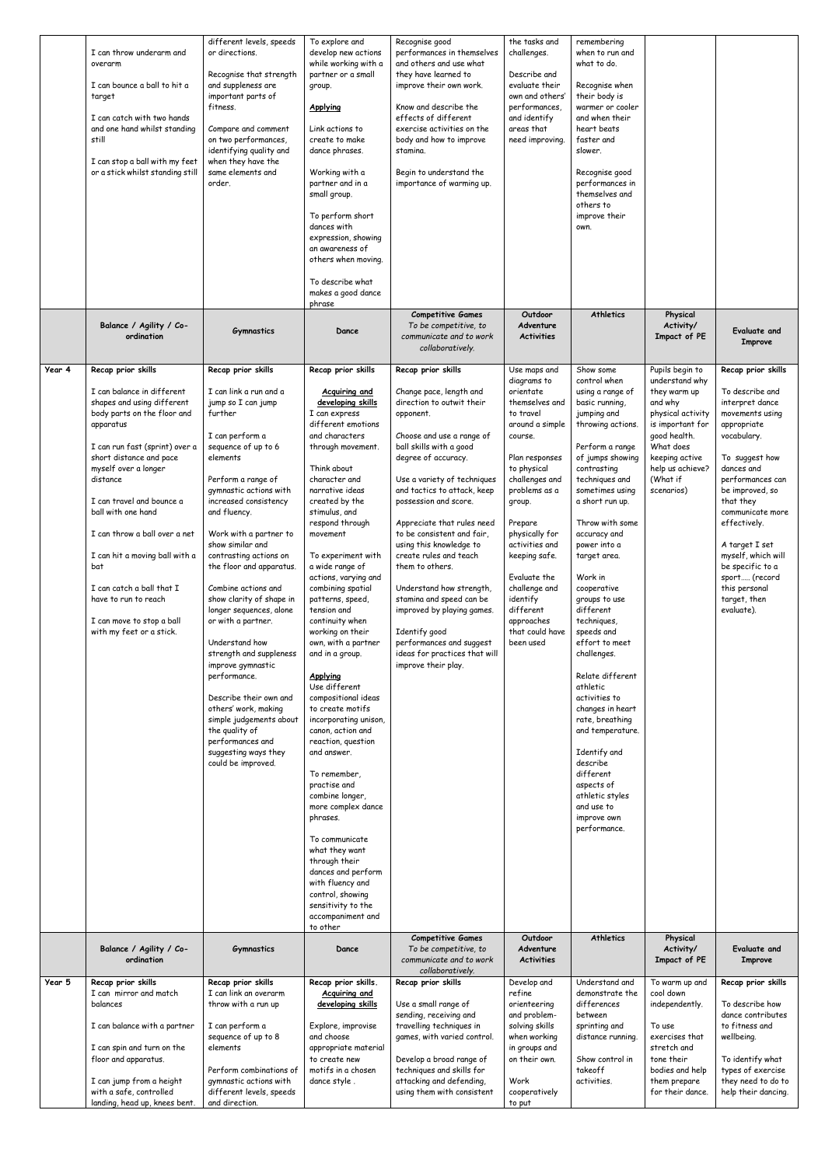|        | I can throw underarm and<br>overarm<br>I can bounce a ball to hit a<br>target<br>I can catch with two hands<br>and one hand whilst standing<br>still<br>I can stop a ball with my feet<br>or a stick whilst standing still                                                                                                                                                                                                                                             | different levels, speeds<br>or directions.<br>Recognise that strength<br>and suppleness are<br>important parts of<br>fitness.<br>Compare and comment<br>on two performances,<br>identifying quality and<br>when they have the<br>same elements and<br>order.                                                                                                                                                                                                                                                                                                                                                                                                                            | To explore and<br>develop new actions<br>while working with a<br>partner or a small<br>group.<br><b>Applying</b><br>Link actions to<br>create to make<br>dance phrases.<br>Working with a<br>partner and in a<br>small group.<br>To perform short<br>dances with<br>expression, showing<br>an awareness of<br>others when moving.<br>To describe what<br>makes a good dance<br>phrase                                                                                                                                                                                                                                                                                                                                                                                                                                                                                                                  | Recognise good<br>performances in themselves<br>and others and use what<br>they have learned to<br>improve their own work.<br>Know and describe the<br>effects of different<br>exercise activities on the<br>body and how to improve<br>stamina.<br>Begin to understand the<br>importance of warming up.                                                                                                                                                                                                                                                                                     | the tasks and<br>challenges.<br>Describe and<br>evaluate their<br>own and others'<br>performances,<br>and identify<br>areas that<br>need improving.                                                                                                                                                                                                         | remembering<br>when to run and<br>what to do.<br>Recognise when<br>their body is<br>warmer or cooler<br>and when their<br>heart beats<br>faster and<br>slower.<br>Recognise good<br>performances in<br>themselves and<br>others to<br>improve their<br>own.                                                                                                                                                                                                                                                                                                                                                                                   |                                                                                                                                                                                                    |                                                                                                                                                                                                                                                                                                                                                               |
|--------|------------------------------------------------------------------------------------------------------------------------------------------------------------------------------------------------------------------------------------------------------------------------------------------------------------------------------------------------------------------------------------------------------------------------------------------------------------------------|-----------------------------------------------------------------------------------------------------------------------------------------------------------------------------------------------------------------------------------------------------------------------------------------------------------------------------------------------------------------------------------------------------------------------------------------------------------------------------------------------------------------------------------------------------------------------------------------------------------------------------------------------------------------------------------------|--------------------------------------------------------------------------------------------------------------------------------------------------------------------------------------------------------------------------------------------------------------------------------------------------------------------------------------------------------------------------------------------------------------------------------------------------------------------------------------------------------------------------------------------------------------------------------------------------------------------------------------------------------------------------------------------------------------------------------------------------------------------------------------------------------------------------------------------------------------------------------------------------------|----------------------------------------------------------------------------------------------------------------------------------------------------------------------------------------------------------------------------------------------------------------------------------------------------------------------------------------------------------------------------------------------------------------------------------------------------------------------------------------------------------------------------------------------------------------------------------------------|-------------------------------------------------------------------------------------------------------------------------------------------------------------------------------------------------------------------------------------------------------------------------------------------------------------------------------------------------------------|-----------------------------------------------------------------------------------------------------------------------------------------------------------------------------------------------------------------------------------------------------------------------------------------------------------------------------------------------------------------------------------------------------------------------------------------------------------------------------------------------------------------------------------------------------------------------------------------------------------------------------------------------|----------------------------------------------------------------------------------------------------------------------------------------------------------------------------------------------------|---------------------------------------------------------------------------------------------------------------------------------------------------------------------------------------------------------------------------------------------------------------------------------------------------------------------------------------------------------------|
|        | Balance / Agility / Co-<br>ordination                                                                                                                                                                                                                                                                                                                                                                                                                                  | <b>Gymnastics</b>                                                                                                                                                                                                                                                                                                                                                                                                                                                                                                                                                                                                                                                                       | Dance                                                                                                                                                                                                                                                                                                                                                                                                                                                                                                                                                                                                                                                                                                                                                                                                                                                                                                  | <b>Competitive Games</b><br>To be competitive, to<br>communicate and to work<br>collaboratively.                                                                                                                                                                                                                                                                                                                                                                                                                                                                                             | Outdoor<br>Adventure<br><b>Activities</b>                                                                                                                                                                                                                                                                                                                   | <b>Athletics</b>                                                                                                                                                                                                                                                                                                                                                                                                                                                                                                                                                                                                                              | Physical<br>Activity/<br>Impact of PE                                                                                                                                                              | Evaluate and<br>Improve                                                                                                                                                                                                                                                                                                                                       |
| Year 4 | Recap prior skills<br>I can balance in different<br>shapes and using different<br>body parts on the floor and<br>apparatus<br>I can run fast (sprint) over a<br>short distance and pace<br>myself over a longer<br>distance<br>I can travel and bounce a<br>ball with one hand<br>I can throw a ball over a net<br>I can hit a moving ball with a<br>bat<br>I can catch a ball that I<br>have to run to reach<br>I can move to stop a ball<br>with my feet or a stick. | Recap prior skills<br>I can link a run and a<br>jump so I can jump<br>further<br>I can perform a<br>sequence of up to 6<br>elements<br>Perform a range of<br>gymnastic actions with<br>increased consistency<br>and fluency.<br>Work with a partner to<br>show similar and<br>contrasting actions on<br>the floor and apparatus.<br>Combine actions and<br>show clarity of shape in<br>longer sequences, alone<br>or with a partner.<br>Understand how<br>strength and suppleness<br>improve gymnastic<br>performance.<br>Describe their own and<br>others' work, making<br>simple judgements about<br>the quality of<br>performances and<br>suggesting ways they<br>could be improved. | Recap prior skills<br>Acquiring and<br>developing skills<br>I can express<br>different emotions<br>and characters<br>through movement.<br>Think about<br>character and<br>narrative ideas<br>created by the<br>stimulus, and<br>respond through<br>movement<br>To experiment with<br>a wide range of<br>actions, varying and<br>combining spatial<br>patterns, speed,<br>tension and<br>continuity when<br>working on their<br>own, with a partner<br>and in a group.<br><b>Applying</b><br>Use different<br>compositional ideas<br>to create motifs<br>incorporating unison,<br>canon, action and<br>reaction, question<br>and answer.<br>To remember,<br>practise and<br>combine longer,<br>more complex dance<br>phrases.<br>To communicate<br>what they want<br>through their<br>dances and perform<br>with fluency and<br>control, showing<br>sensitivity to the<br>accompaniment and<br>to other | Recap prior skills<br>Change pace, length and<br>direction to outwit their<br>opponent.<br>Choose and use a range of<br>ball skills with a good<br>degree of accuracy.<br>Use a variety of techniques<br>and tactics to attack, keep<br>possession and score.<br>Appreciate that rules need<br>to be consistent and fair,<br>using this knowledge to<br>create rules and teach<br>them to others.<br>Understand how strength,<br>stamina and speed can be<br>improved by playing games.<br>Identify good<br>performances and suggest<br>ideas for practices that will<br>improve their play. | Use maps and<br>diagrams to<br>orientate<br>themselves and<br>to travel<br>around a simple<br>course.<br>Plan responses<br>to physical<br>challenges and<br>problems as a<br>group.<br>Prepare<br>physically for<br>activities and<br>keeping safe.<br>Evaluate the<br>challenge and<br>identify<br>different<br>approaches<br>that could have<br>been used | Show some<br>control when<br>using a range of<br>basic running,<br>jumping and<br>throwing actions.<br>Perform a range<br>of jumps showing<br>contrasting<br>techniques and<br>sometimes using<br>a short run up.<br>Throw with some<br>accuracy and<br>power into a<br>target area.<br>Work in<br>cooperative<br>groups to use<br>different<br>techniques,<br>speeds and<br>effort to meet<br>challenges.<br>Relate different<br>athletic<br>activities to<br>changes in heart<br>rate, breathing<br>and temperature.<br>Identify and<br>describe<br>different<br>aspects of<br>athletic styles<br>and use to<br>improve own<br>performance. | Pupils begin to<br>understand why<br>they warm up<br>and why<br>physical activity<br>is important for<br>good health.<br>What does<br>keeping active<br>help us achieve?<br>(What if<br>scenarios) | Recap prior skills<br>To describe and<br>interpret dance<br>movements using<br>appropriate<br>vocabulary.<br>To suggest how<br>dances and<br>performances can<br>be improved, so<br>that they<br>communicate more<br>effectively.<br>A target I set<br>myself, which will<br>be specific to a<br>sport (record<br>this personal<br>target, then<br>evaluate). |
|        | Balance / Agility / Co-<br>ordination                                                                                                                                                                                                                                                                                                                                                                                                                                  | <b>Gymnastics</b>                                                                                                                                                                                                                                                                                                                                                                                                                                                                                                                                                                                                                                                                       | Dance                                                                                                                                                                                                                                                                                                                                                                                                                                                                                                                                                                                                                                                                                                                                                                                                                                                                                                  | <b>Competitive Games</b><br>To be competitive, to<br>communicate and to work<br>collaboratively.                                                                                                                                                                                                                                                                                                                                                                                                                                                                                             | Outdoor<br>Adventure<br><b>Activities</b>                                                                                                                                                                                                                                                                                                                   | <b>Athletics</b>                                                                                                                                                                                                                                                                                                                                                                                                                                                                                                                                                                                                                              | Physical<br>Activity/<br>Impact of PE                                                                                                                                                              | Evaluate and<br><b>Improve</b>                                                                                                                                                                                                                                                                                                                                |
| Year 5 | Recap prior skills<br>I can mirror and match<br>balances<br>I can balance with a partner<br>I can spin and turn on the<br>floor and apparatus.<br>I can jump from a height<br>with a safe, controlled<br>landing, head up, knees bent.                                                                                                                                                                                                                                 | Recap prior skills<br>I can link an overarm<br>throw with a run up<br>I can perform a<br>sequence of up to 8<br>elements<br>Perform combinations of<br>gymnastic actions with<br>different levels, speeds<br>and direction.                                                                                                                                                                                                                                                                                                                                                                                                                                                             | Recap prior skills.<br>Acquiring and<br>developing skills<br>Explore, improvise<br>and choose<br>appropriate material<br>to create new<br>motifs in a chosen<br>dance style.                                                                                                                                                                                                                                                                                                                                                                                                                                                                                                                                                                                                                                                                                                                           | Recap prior skills<br>Use a small range of<br>sending, receiving and<br>travelling techniques in<br>games, with varied control.<br>Develop a broad range of<br>techniques and skills for<br>attacking and defending,<br>using them with consistent                                                                                                                                                                                                                                                                                                                                           | Develop and<br>refine<br>orienteering<br>and problem-<br>solving skills<br>when working<br>in groups and<br>on their own.<br>Work<br>cooperatively<br>to put                                                                                                                                                                                                | Understand and<br>demonstrate the<br>differences<br>between<br>sprinting and<br>distance running.<br>Show control in<br>takeoff<br>activities.                                                                                                                                                                                                                                                                                                                                                                                                                                                                                                | To warm up and<br>cool down<br>independently.<br>To use<br>exercises that<br>stretch and<br>tone their<br>bodies and help<br>them prepare<br>for their dance.                                      | Recap prior skills<br>To describe how<br>dance contributes<br>to fitness and<br>wellbeing.<br>To identify what<br>types of exercise<br>they need to do to<br>help their dancing.                                                                                                                                                                              |